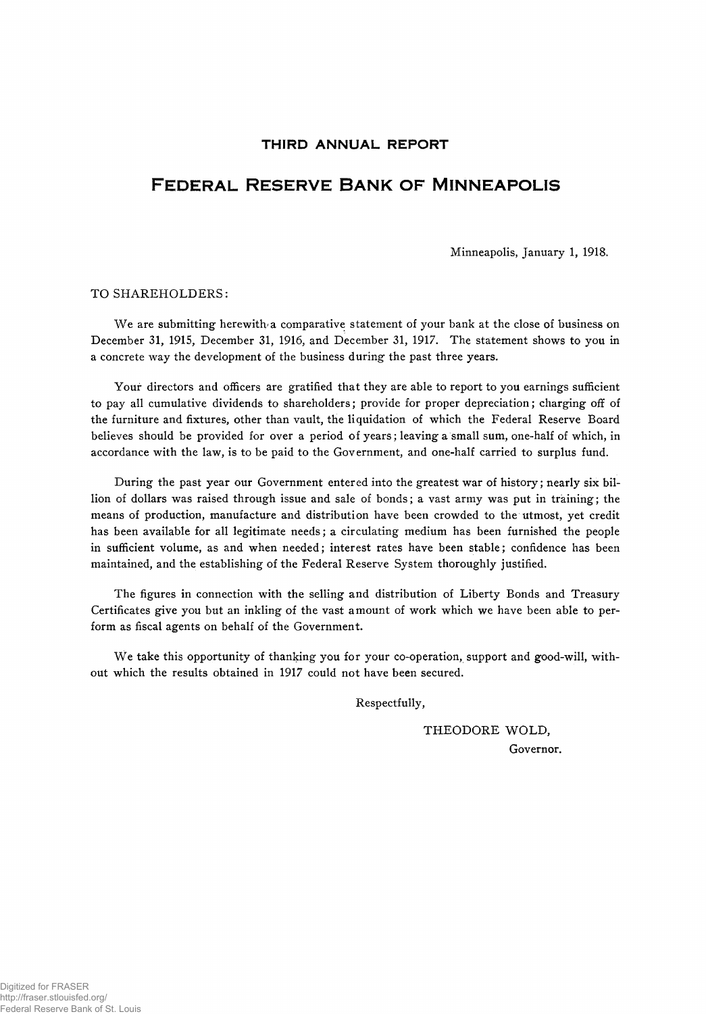# THIRD ANNUAL REPORT

# FEDERAL RESERVE BANK OF MINNEAPOLIS

Minneapolis, January 1, 1918.

### TO SHAREHOLDERS:

We are submitting herewith a comparative statement of your bank at the close of business on December 31, 1915, December 31, 1916, and December 31, 1917. The statement shows to you in a concrete way the development of the business during the past three years.

Your directors and officers are gratified that they are able to report to you earnings sufficient to pay all cumulative dividends to shareholders; provide for proper depreciation; charging off of the furniture and fixtures, other than vault, the liquidation of which the Federal Reserve Board believes should be provided for over a period of years; leaving a small sum, one-half of which, in accordance with the law, is to be paid to the Government, and one-half carried to surplus fund.

During the past year our Government entered into the greatest war of history; nearly six billion of dollars was raised through issue and sale of bonds; a vast army was put in training; the means of production, manufacture and distribution have been crowded to the utmost, yet credit has been available for all legitimate needs; a circulating medium has been furnished the people in sufficient volume, as and when needed; interest rates have been stable; confidence has been maintained, and the establishing of the Federal Reserve System thoroughly justified.

The figures in connection with the selling and distribution of Liberty Bonds and Treasury Certificates give you but an inkling of the vast amount of work which we have been able to perform as fiscal agents on behalf of the Government.

We take this opportunity of thanking you for your co-operation, support and good-will, without which the results obtained in 1917 could not have been secured.

Respectfully,

THEODORE WOLD, Governor.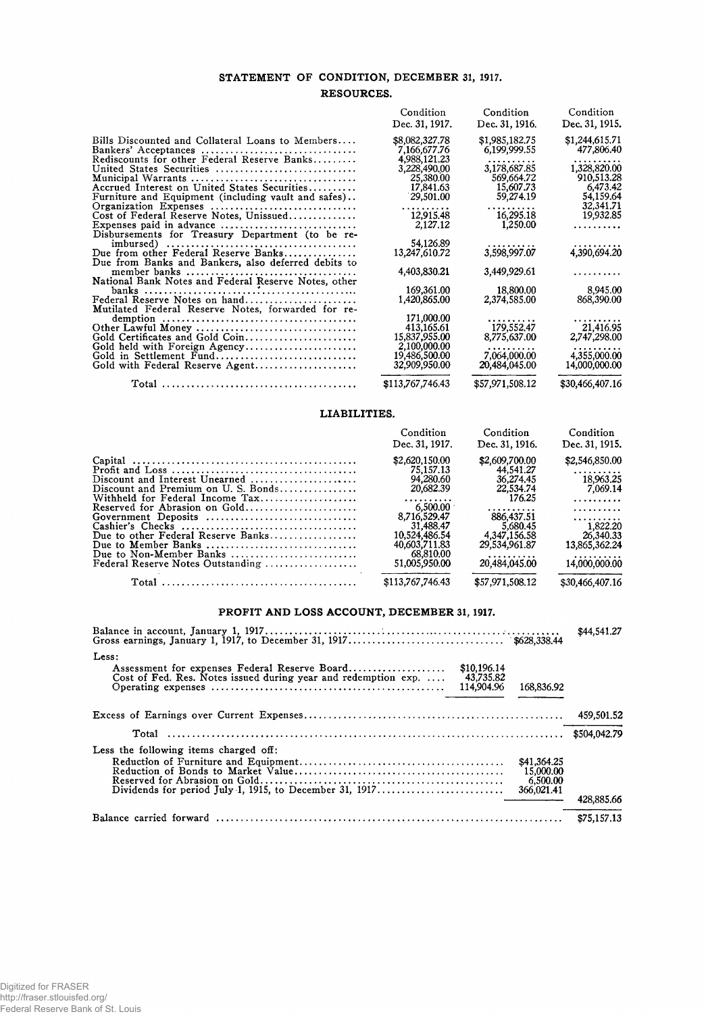# STATEMENT OF CONDITION, DECEMBER 31, 1917. RESOURCES.

|                                                                                         | Condition                | Condition         | Condition               |
|-----------------------------------------------------------------------------------------|--------------------------|-------------------|-------------------------|
|                                                                                         | Dec. 31, 1917.           | Dec. 31, 1916.    | Dec. 31, 1915.          |
| Bills Discounted and Collateral Loans to Members                                        | \$8,082,327.78           | \$1,985,182.75    | \$1,244,615.71          |
| Bankers' Acceptances                                                                    | 7,166,677.76             | 6,199,999.55      | 477,806.40              |
| Rediscounts for other Federal Reserve Banks                                             | 4,988,121.23             |                   | .                       |
| United States Securities                                                                | 3,228,490.00             | 3,178,687.85      | 1,328,820.00            |
|                                                                                         | 25,380.00                | 569,664.72        | 910.513.28              |
| Accrued Interest on United States Securities                                            | 17,841.63                | 15,607.73         | 6.473.42                |
| Furniture and Equipment (including vault and safes)                                     | 29,501.00                | 59,274.19         | 54.159.64               |
| Organization Expenses                                                                   | .                        | .                 | 32,341.71               |
| Cost of Federal Reserve Notes, Unissued                                                 | 12,915.48                | 16,295.18         | 19,932.85               |
| Expenses paid in advance                                                                | 2,127,12                 | 1,250.00          | .                       |
| Disbursements for Treasury Department (to be re-                                        |                          |                   |                         |
|                                                                                         | 54.126.89                | .                 | 4,390,694.20            |
| Due from other Federal Reserve Banks                                                    | 13,247,610.72            | 3,598,997.07      |                         |
| Due from Banks and Bankers, also deferred debits to                                     |                          |                   |                         |
|                                                                                         | 4,403,830.21             | 3,449,929.61      | .                       |
| National Bank Notes and Federal Reserve Notes, other                                    |                          |                   |                         |
|                                                                                         | 169,361.00               | 18,800.00         | 8,945,00                |
| Federal Reserve Notes on hand                                                           | 1,420,865.00             | 2,374,585.00      | 868,390.00              |
| Mutilated Federal Reserve Notes, forwarded for re-                                      |                          |                   |                         |
| demption $\ldots \ldots \ldots \ldots \ldots \ldots \ldots \ldots \ldots \ldots \ldots$ | 171,000.00<br>413,165.61 | 179,552.47        | . <b>.</b><br>21,416.95 |
| Other Lawful Money<br>Gold Certificates and Gold Coin                                   | 15,837,955.00            | 8,775,637.00      | 2,747,298.00            |
|                                                                                         | 2,100,000.00             |                   |                         |
| Gold held with Foreign Agency<br>Gold in Settlement Fund                                | 19,486,500.00            | .<br>7.064.000.00 | .<br>4,355,000.00       |
| Gold with Federal Reserve Agent                                                         | 32,909,950.00            | 20,484,045.00     | 14,000,000.00           |
|                                                                                         |                          |                   |                         |
|                                                                                         | \$113,767,746.43         | \$57,971,508.12   | \$30,466,407.16         |

#### LIABILITIES.

|                                    | Condition<br>Dec. 31, 1917. | Condition<br>Dec. 31, 1916. | Condition<br>Dec. 31, 1915. |
|------------------------------------|-----------------------------|-----------------------------|-----------------------------|
|                                    | \$2,620,150.00              | \$2,609,700.00              | \$2,546,850.00              |
|                                    | 75.157.13                   | 44.541.27                   | .                           |
| Discount and Interest Unearned     | 94,280.60                   | 36,274.45                   | 18,963,25                   |
| Discount and Premium on U.S. Bonds | 20.682.39                   | 22,534.74                   | 7.069.14                    |
| Withheld for Federal Income Tax    | .                           | 176.25                      | .                           |
| Reserved for Abrasion on Gold      | 6.500.00                    | . <i>. .</i>                | . <b>.</b>                  |
| Government Deposits                | 8.716.529.47                | 886.437.51                  | .                           |
|                                    | 31,488.47                   | 5.680.45                    | 1.822.20                    |
| Due to other Federal Reserve Banks | 10,524,486.54               | 4.347,156.58                | 26,340.33                   |
| Due to Member Banks                | 40,603,711,83               | 29.534.961.87               | 13,865,362.24               |
| Due to Non-Member Banks            | 68.810.00                   | .                           | .                           |
| Federal Reserve Notes Outstanding  | 51,005,950.00               | 20,484,045.00               | 14,000,000.00               |
|                                    | \$113,767,746.43            | \$57,971,508.12             | \$30,466,407.16             |
|                                    |                             |                             |                             |

#### PROFIT AND LOSS ACCOUNT, DECEMBER 31, 1917.

| Less:<br>Assessment for expenses Federal Reserve Board<br>\$10,196.14<br>Cost of Fed. Res. Notes issued during year and redemption exp.<br>43,735.82<br>114,904.96<br>168.836.92 |             |  |  |  |
|----------------------------------------------------------------------------------------------------------------------------------------------------------------------------------|-------------|--|--|--|
|                                                                                                                                                                                  |             |  |  |  |
|                                                                                                                                                                                  |             |  |  |  |
| Less the following items charged off:<br>\$41,364.25<br>15,000.00<br>6,500.00<br>366,021.41                                                                                      | 428,885.66  |  |  |  |
|                                                                                                                                                                                  | \$75,157,13 |  |  |  |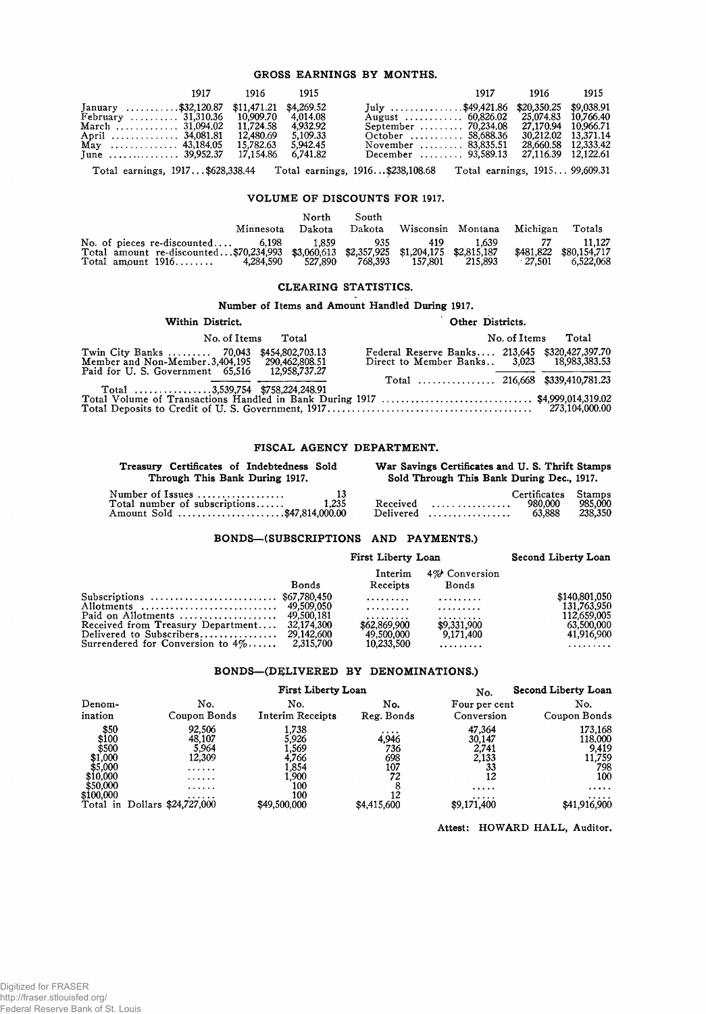### **GROSS EARNINGS BY MONTHS.**

| July \$49,421.86 \$20,350.25 \$9,038.91<br>January \$32,120.87 \$11,471.21 \$4,269.52<br>February $31,310.36$ 10,909.70<br>4.014.08                                                                                                                                                                            |                                            |
|----------------------------------------------------------------------------------------------------------------------------------------------------------------------------------------------------------------------------------------------------------------------------------------------------------------|--------------------------------------------|
| 4.932.92<br>11.724.58<br>September  70,234.08 27,170.94 10.966.71<br>March  31,094.02<br>5.109.33<br>12.480.69<br>October  58,688.36<br>April  34,081.81<br>5.942.45<br>May  43,184.05 15,782.63<br>November  83,835.51<br>6.741.82<br>December  93,589.13 27,116.39 12.122.61<br>17.154.86<br>June  39,952.37 | 30.212.02 13.371.14<br>28.660.58 12.333.42 |

Total earnings, 1917.. .\$628,338.44 Total earnings, 1916. ..\$238,108.68 Total earnings, 1915... 99,609.31

# **VOLUME OF DISCOUNTS FOR** 1917.

|                                                                                                                                                            | Minnesota | North<br>Dakota  | South<br>Dakota | Wisconsin Montana |                  | Michigan  | Totals                                        |
|------------------------------------------------------------------------------------------------------------------------------------------------------------|-----------|------------------|-----------------|-------------------|------------------|-----------|-----------------------------------------------|
| No. of pieces re-discounted $6,198$<br>Total amount re-discounted\$70,234,993 \$3,060,613 \$2,357,925 \$1,204,175 \$2,815,187<br>$Total amount 1916 \dots$ | 4.284.590 | 1.859<br>527.890 | 935<br>768.393  | 419<br>157.801    | 1.639<br>215.893 | $-27.501$ | 11.127<br>\$481,822 \$80,154,717<br>6.522.068 |

# **CLEARING STATISTICS.**

# **Number of Items and Amount Handled During** 1917.

| Other Districts.<br>Within District.<br>No. of Items<br>No. of Items Total                                                                   |  |                                                                                              |  |  |
|----------------------------------------------------------------------------------------------------------------------------------------------|--|----------------------------------------------------------------------------------------------|--|--|
|                                                                                                                                              |  | Total                                                                                        |  |  |
| Twin City Banks  70,043 \$454,802,703.13<br>Member and Non-Member.3,404,195 290,462,808.51<br>Paid for U. S. Government 65.516 12.958.737.27 |  | Federal Reserve Banks 213,645 \$320,427,397.70<br>Direct to Member Banks 3,023 18.983,383.53 |  |  |
| Total 3,539,754 \$758,224,248.91                                                                                                             |  |                                                                                              |  |  |
| Total Volume of Transactions Handled in Bank During 1917 \$4,999,014,319.02                                                                  |  |                                                                                              |  |  |

#### **FISCAL AGENCY DEPARTMENT.**

| Treasury Certificates of Indebtedness Sold                                                        | War Savings Certificates and U.S. Thrift Stamps                   |
|---------------------------------------------------------------------------------------------------|-------------------------------------------------------------------|
| Through This Bank During 1917.                                                                    | Sold Through This Bank During Dec., 1917.                         |
| Number of Issues<br>- 13<br>Total number of subscriptions<br>1.235<br>Amount Sold \$47,814,000.00 | Stamps<br>Certificates<br>985.000<br>980.000<br>238,350<br>63.888 |

# **BONDS— (SUBSCRIPTIONS AND PAYMENTS.)**

|                                                                               |              | First Liberty Loan         | Second Liberty Loan      |                            |
|-------------------------------------------------------------------------------|--------------|----------------------------|--------------------------|----------------------------|
|                                                                               | <b>Bonds</b> | Interim<br>Receipts        | 4% Conversion<br>Bonds   |                            |
| Subscriptions $\ldots \ldots \ldots \ldots \ldots \ldots \ldots$ \$67,780,450 |              | <b>*********</b>           | .                        | \$140,801,050              |
|                                                                               |              | .<br>. <i>.</i>            | .<br>.                   | 131,763,950<br>112,659,005 |
| Received from Treasury Department 32,174,300                                  |              | \$62,869,900<br>49.500,000 | \$9,331,900<br>9,171,400 | 63,500,000<br>41,916,900   |
| Surrendered for Conversion to $4\% \ldots$ .                                  | 2.315.700    | 10,233,500                 | .                        | .                          |

#### **BONDS— (DELIVERED BY DENOMINATIONS.)**

|                                                                                               | First Liberty Loan                                                              |                                                                                  |                                                                   | <b>Second Liberty Loan</b><br>No.                                       |                                                                               |  |
|-----------------------------------------------------------------------------------------------|---------------------------------------------------------------------------------|----------------------------------------------------------------------------------|-------------------------------------------------------------------|-------------------------------------------------------------------------|-------------------------------------------------------------------------------|--|
| Denom-<br>ination                                                                             | No.<br>Coupon Bonds                                                             | No.<br><b>Interim Receipts</b>                                                   | No.<br>Reg. Bonds                                                 | Four per cent<br>Conversion                                             | No.<br>Coupon Bonds                                                           |  |
| \$50<br>\$100<br>\$500<br>\$1,000<br>\$5,000<br>\$10,000<br>\$50,000<br>\$100,000<br>Total in | 92,506<br>48,107<br>5.964<br>12,309<br>.<br>.<br>.<br>.<br>Dollars \$24,727,000 | 1.738<br>5.926<br>1,569<br>4.766<br>1.854<br>1.900<br>100<br>100<br>\$49,500,000 | $\cdots$<br>4,946<br>736<br>698<br>107<br>72<br>12<br>\$4,415,600 | 47,364<br>30.147<br>2,741<br>2,133<br>33<br>12<br>.<br>.<br>\$9,171,400 | 173,168<br>118.000<br>9,419<br>11,759<br>798<br>100<br>.<br>.<br>\$41,916,900 |  |

**Attest: HOWARD HALL, Auditor.**